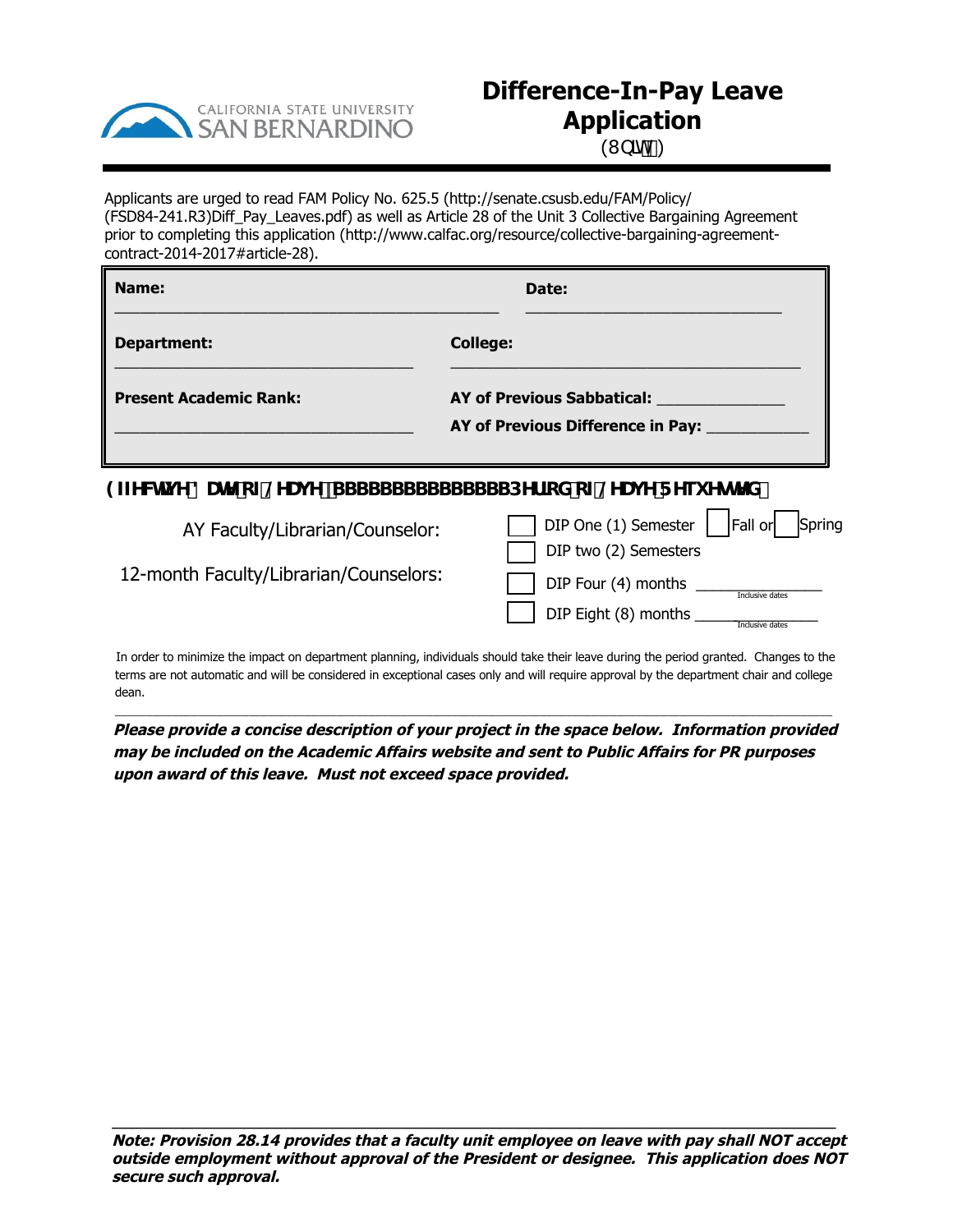

## **Difference-In-Pay Leave Application**

 $(I b]h'$ )

Applicants are urged to read FAM Policy No. 625.5 (http://senate.csusb.edu/FAM/Policy/ (FSD84-241.R3)Diff\_Pay\_Leaves.pdf) as well as Article 28 of the Unit 3 Collective Bargaining Agreement prior to completing this application (http://www.calfac.org/resource/collective-bargaining-agreementcontract-2014-2017#article-28).

| Name:                         | Date:                                                                  |
|-------------------------------|------------------------------------------------------------------------|
| <b>Department:</b>            | <b>College:</b>                                                        |
| <b>Present Academic Rank:</b> | <b>AY of Previous Sabbatical:</b><br>AY of Previous Difference in Pay: |

## 9ZZY**WIJ Y 8UHY cZ@/UJ Y. SSSSSSSSSSSSSSSDYf]cX cZ@/UJ Y F Yei YgHYX.**

| AY Faculty/Librarian/Counselor:        | DIP One (1) Semester   Fall or   Spring<br>DIP two (2) Semesters |
|----------------------------------------|------------------------------------------------------------------|
| 12-month Faculty/Librarian/Counselors: | DIP Four (4) months<br>Inclusive dates                           |
|                                        | DIP Eight (8) months<br>Inclusive dates                          |

In order to minimize the impact on department planning, individuals should take their leave during the period granted. Changes to the terms are not automatic and will be considered in exceptional cases only and will require approval by the department chair and college dean.

\_\_\_\_\_\_\_\_\_\_\_\_\_\_\_\_\_\_\_\_\_\_\_\_\_\_\_\_\_\_\_\_\_\_\_\_\_\_\_\_\_\_\_\_\_\_\_\_\_\_\_\_\_\_\_\_\_\_\_\_\_\_\_\_\_\_\_\_\_\_\_\_\_\_\_\_\_\_\_\_\_\_\_\_\_\_\_\_\_\_\_\_\_\_\_\_\_\_\_\_\_\_\_\_\_\_\_\_\_\_\_\_\_

**Please provide a concise description of your project in the space below. Information provided may be included on the Academic Affairs website and sent to Public Affairs for PR purposes upon award of this leave. Must not exceed space provided.**

 $\overline{a_1}$  ,  $\overline{a_2}$  ,  $\overline{a_3}$  ,  $\overline{a_4}$  ,  $\overline{a_5}$  ,  $\overline{a_6}$  ,  $\overline{a_7}$  ,  $\overline{a_8}$  ,  $\overline{a_9}$  ,  $\overline{a_9}$  ,  $\overline{a_1}$  ,  $\overline{a_2}$  ,  $\overline{a_3}$  ,  $\overline{a_4}$  ,  $\overline{a_5}$  ,  $\overline{a_7}$  ,  $\overline{a_8}$  ,